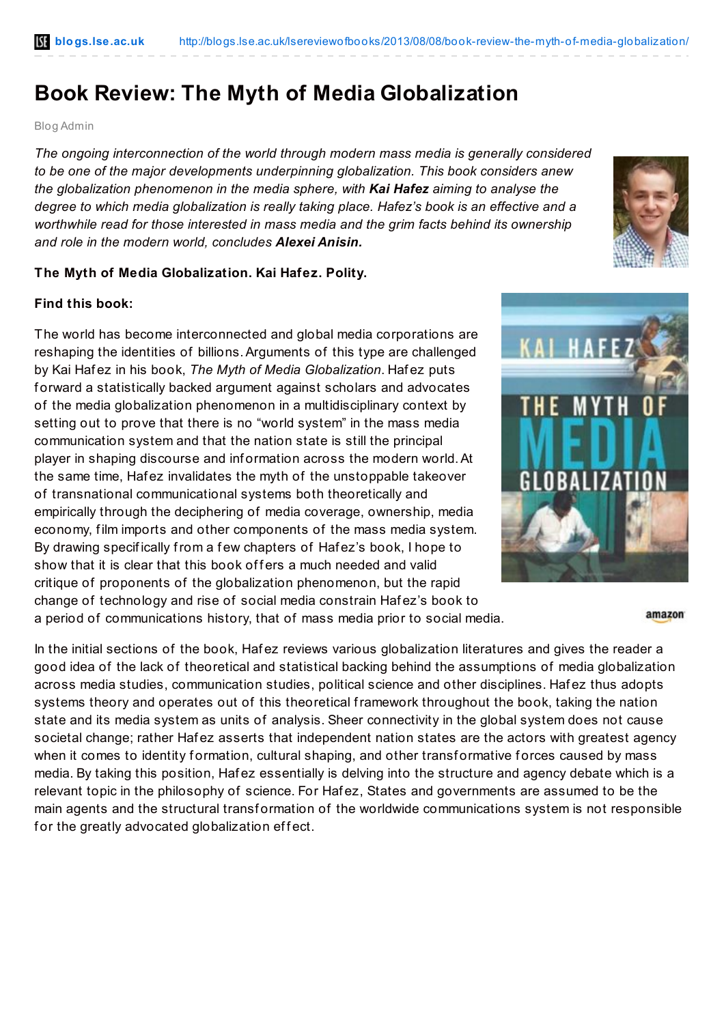## **Book Review: The Myth of Media Globalization**

Blog Admin

*The ongoing interconnection of the world through modern mass media is generally considered to be one of the major developments underpinning globalization. This book considers anew the globalization phenomenon in the media sphere, with Kai Hafez aiming to analyse the degree to which media globalization is really taking place. Hafez's book is an effective and a worthwhile read for those interested in mass media and the grim facts behind its ownership and role in the modern world, concludes Alexei Anisin.*

## **The Myth of Media Globalization. Kai Hafez. Polity.**

## **Find this book:**

The world has become interconnected and global media corporations are reshaping the identities of billions.Arguments of this type are challenged by Kai Haf ez in his book, *The Myth of Media Globalization*. Haf ez puts f orward a statistically backed argument against scholars and advocates of the media globalization phenomenon in a multidisciplinary context by setting out to prove that there is no "world system" in the mass media communication system and that the nation state is still the principal player in shaping discourse and inf ormation across the modern world.At the same time, Haf ez invalidates the myth of the unstoppable takeover of transnational communicational systems both theoretically and empirically through the deciphering of media coverage, ownership, media economy, film imports and other components of the mass media system. By drawing specifically from a few chapters of Hafez's book, I hope to show that it is clear that this book offers a much needed and valid critique of proponents of the globalization phenomenon, but the rapid change of technology and rise of social media constrain Haf ez's book to a period of communications history, that of mass media prior to social media.

In the initial sections of the book, Haf ez reviews various globalization literatures and gives the reader a good idea of the lack of theoretical and statistical backing behind the assumptions of media globalization across media studies, communication studies, political science and other disciplines. Haf ez thus adopts systems theory and operates out of this theoretical framework throughout the book, taking the nation state and its media system as units of analysis. Sheer connectivity in the global system does not cause societal change; rather Hafez asserts that independent nation states are the actors with greatest agency when it comes to identity formation, cultural shaping, and other transformative forces caused by mass media. By taking this position, Haf ez essentially is delving into the structure and agency debate which is a relevant topic in the philosophy of science. For Haf ez, States and governments are assumed to be the main agents and the structural transformation of the worldwide communications system is not responsible for the greatly advocated globalization effect.







amazon